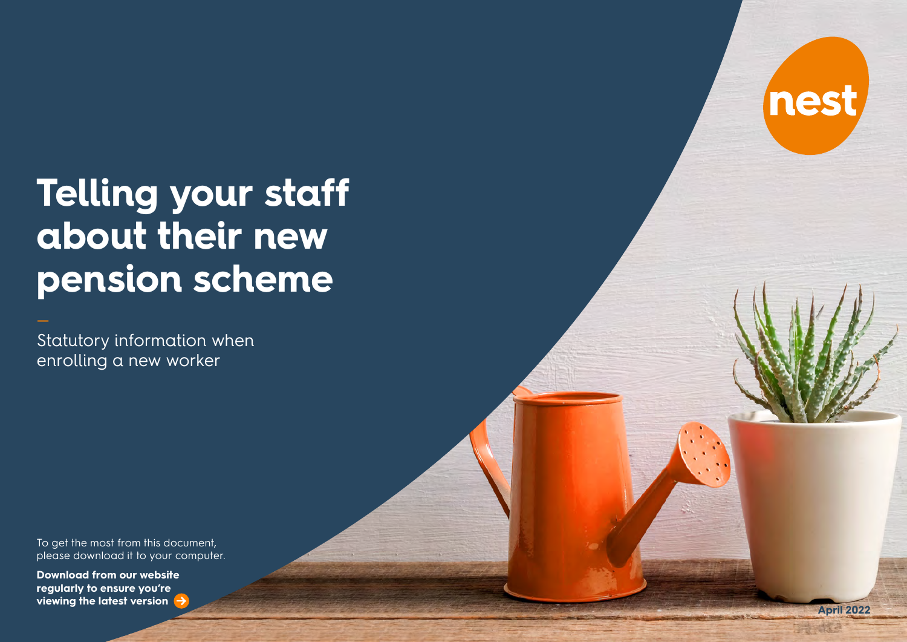# nest

# **Telling your staff about their new pension scheme**

Statutory information when enrolling a new worker

To get the most from this document, please download it to your computer.

**Download from our website regularly to ensure you're viewing the latest version April 2022**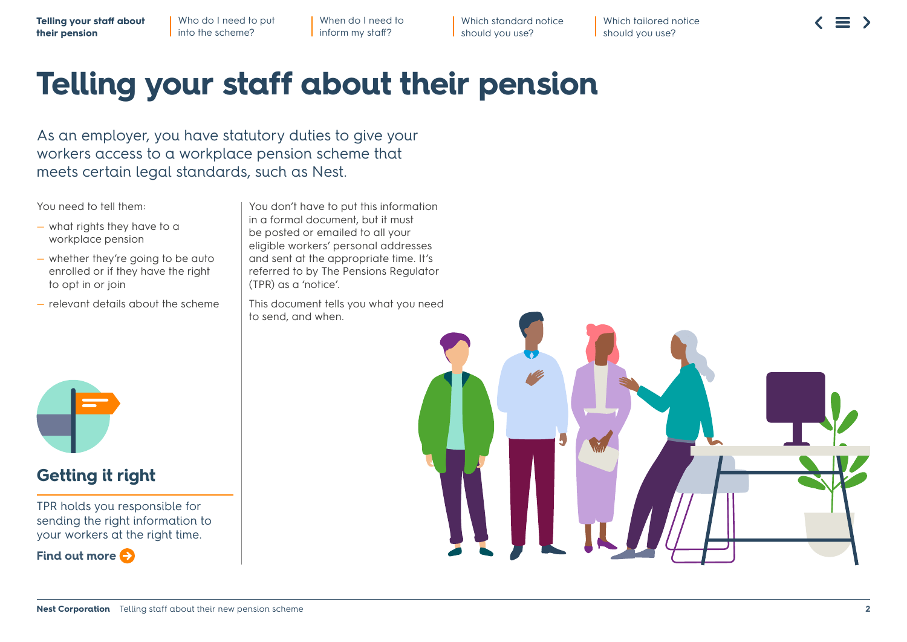When do I need to inform my staff?

Which standard notice should you use?

Which tailored notice should you use?

# **Telling your staff about their pension**

As an employer, you have statutory duties to give your workers access to a workplace pension scheme that meets certain legal standards, such as Nest.

#### You need to tell them:

- what rights they have to a workplace pension
- whether they're going to be auto enrolled or if they have the right to opt in or join
- relevant details about the scheme

You don't have to put this information in a formal document, but it must be posted or emailed to all your eligible workers' personal addresses and sent at the appropriate time. It's referred to by The Pensions Regulator (TPR) as a 'notice'.

This document tells you what you need to send, and when.



# **Getting it right**

TPR holds you responsible for sending the right information to your workers at the right time.



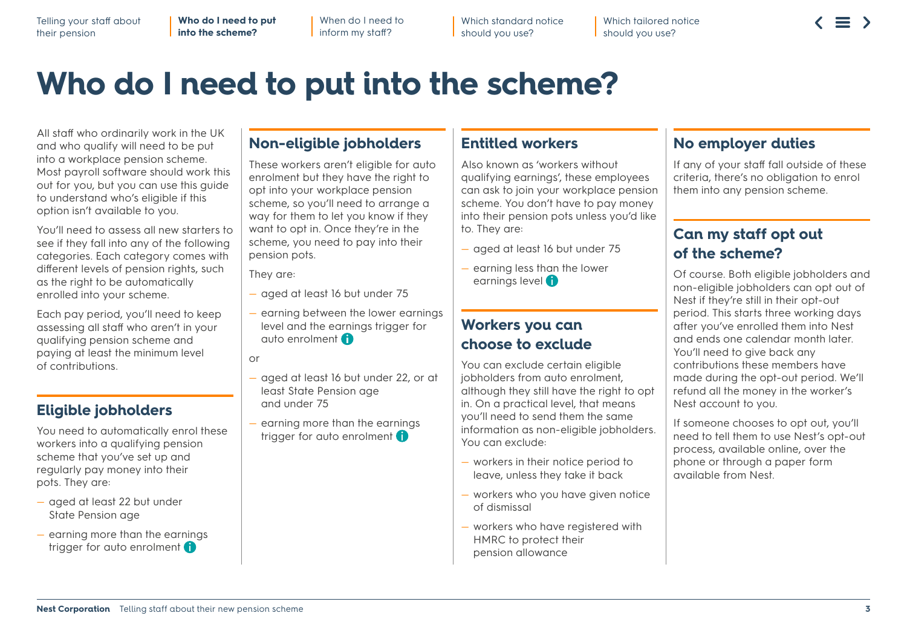**Who do I need to put into the scheme?**

When do I need to inform my staff?

Which standard notice should you use?

Which tailored notice should you use?

# **Who do I need to put into the scheme?**

All staff who ordinarily work in the UK and who qualify will need to be put into a workplace pension scheme. Most payroll software should work this out for you, but you can use this guide to understand who's eligible if this option isn't available to you.

You'll need to assess all new starters to see if they fall into any of the following categories. Each category comes with different levels of pension rights, such as the right to be automatically enrolled into your scheme.

Each pay period, you'll need to keep assessing all staff who aren't in your qualifying pension scheme and paying at least the minimum level of contributions.

### **Eligible jobholders**

You need to automatically enrol these workers into a qualifying pension scheme that you've set up and regularly pay money into their pots. They are:

- aged at least 22 but under State Pension age
- earning more than the earnings trigger for auto enrolment **f**

#### **Non-eligible jobholders**

These workers aren't eligible for auto enrolment but they have the right to opt into your workplace pension scheme, so you'll need to arrange a way for them to let you know if they want to opt in. Once they're in the scheme, you need to pay into their pension pots.

They are:

- aged at least 16 but under 75
- earning between the lower earnings level and the earnings trigger for auto enrolment **fi-**

or

- aged at least 16 but least State Pension a and under 75
- trigger for auto enrolment **earn more than: Does your worker**

£192 per week £384 per fortnight

- £768 every 4 weeks
- £833 per month
- £2,499 per quarter
- £4,998 bi-annually £10,000 per year

**bes your worker E** E520 - £833 per month £240 - £384 per fortnight £480 - £768 every four weeks  $£1,560 = £1$ 

**Does your worker earn between:** £120 - £192 per week

- Does your worker £3,120 - £4  $£6,240 - £$ **earn more than:** £192 per week £384 per fortnight
	- £768 every 4 weeks £4,998 bi-annually  $\epsilon$ e £833 per month £2,499 per quarter

£10,000 per year

#### **Entitled workers**

Also known as 'workers without qualifying earnings', these employees can ask to join your workplace pension scheme. You don't have to pay money into their pension pots unless you'd like to. They are:

— aged at least 16 but under 75

**b** exclu

— earning less than the lower earnings level (1-

**Workers you co** 

**Does your worker earn less than:** £120 per week £240 per fortnight £480 every four weeks

Jode certa<sup>1</sup> £520 per month ek **El,560 per quarter**  $r$ thight  $\longrightarrow$  still hav **£3,120 bi-annually** four weeks lical level £6,240 per year

y send th is non-eligible jobholders.

> hotice period to v take it back  $J$  have given notice

re registered with t their

### **No employer duties**

If any of your staff fall outside of these criteria, there's no obligation to enrol them into any pension scheme.

### **Can my staff opt out of the scheme?**

Of course. Both eligible jobholders and igible jobholders can opt out of they're still in their opt-out I. This starts three working days ou've enrolled them into Nest and and calendar month later. heed to give back any putions these members have during the opt-out period. We'll all the money in the worker's ccount to you.

If someone chooses to opt out, you'll need to tell them to use Nest's opt-out process, available online, over the phone or through a paper form available from Nest.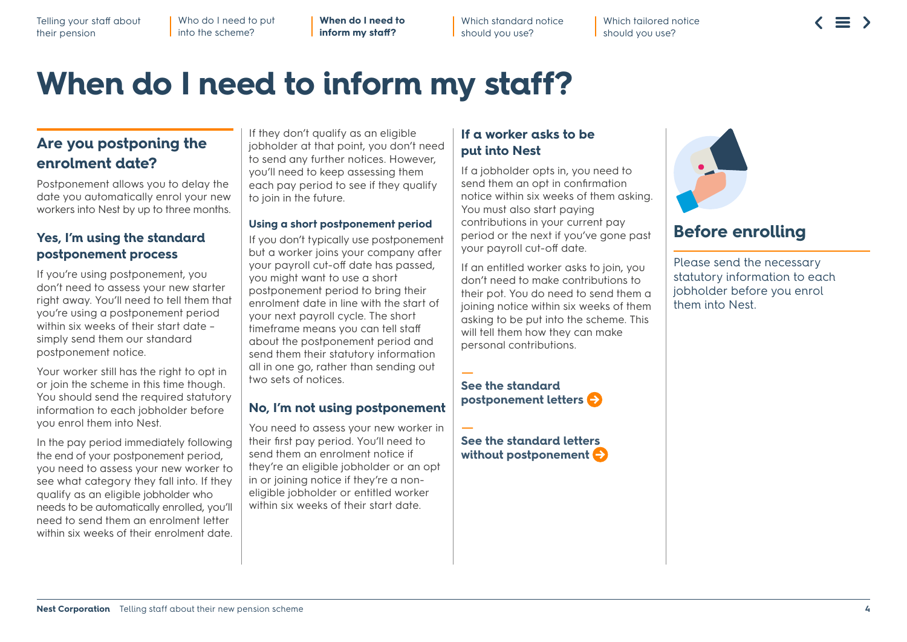Who do I need to put into the scheme?

**When do I need to inform my staff?**

Which standard notice should you use?

Which tailored notice should you use?

# **When do I need to inform my staff?**

### **Are you postponing the enrolment date?**

Postponement allows you to delay the date you automatically enrol your new workers into Nest by up to three months.

#### **Yes, I'm using the standard postponement process**

If you're using postponement, you don't need to assess your new starter right away. You'll need to tell them that you're using a postponement period within six weeks of their start date simply send them our standard postponement notice.

Your worker still has the right to opt in or join the scheme in this time though. You should send the required statutory information to each jobholder before you enrol them into Nest.

In the pay period immediately following the end of your postponement period, you need to assess your new worker to see what category they fall into. If they qualify as an eligible jobholder who needs to be automatically enrolled, you'll need to send them an enrolment letter within six weeks of their enrolment date.

If they don't qualify as an eligible jobholder at that point, you don't need to send any further notices. However, you'll need to keep assessing them each pay period to see if they qualify to join in the future.

#### **Using a short postponement period**

If you don't typically use postponement but a worker joins your company after your payroll cut-off date has passed, you might want to use a short postponement period to bring their enrolment date in line with the start of your next payroll cycle. The short timeframe means you can tell staff about the postponement period and send them their statutory information all in one go, rather than sending out two sets of notices.

#### **No, I'm not using postponement**

You need to assess your new worker in their first pay period. You'll need to send them an enrolment notice if they're an eligible jobholder or an opt in or joining notice if they're a noneligible jobholder or entitled worker within six weeks of their start date.

#### **If a worker asks to be put into Nest**

If a jobholder opts in, you need to send them an opt in confirmation notice within six weeks of them asking. You must also start paying contributions in your current pay period or the next if you've gone past your payroll cut-off date.

If an entitled worker asks to join, you don't need to make contributions to their pot. You do need to send them a joining notice within six weeks of them asking to be put into the scheme. This will tell them how they can make personal contributions.

#### $\pm$ **[See the standard](#page-5-0)  [postponement letters](#page-5-0)**

 $\overline{\phantom{0}}$ **[See the standard letters](#page-6-0)  [without postponement](#page-6-0)** 



# **Before enrolling**

Please send the necessary statutory information to each jobholder before you enrol them into Nest.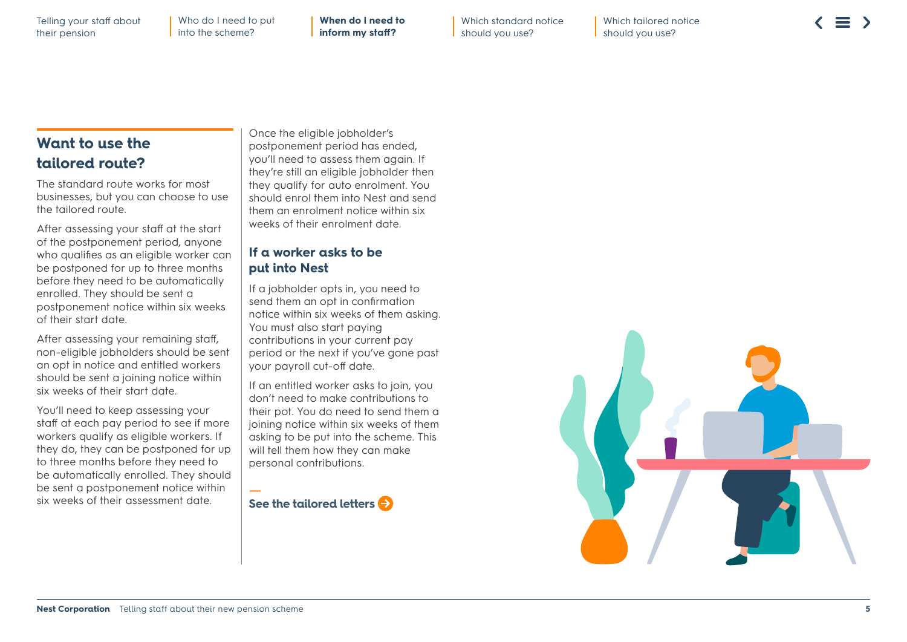**When do I need to inform my staff?**

Which standard notice should you use?

Which tailored notice should you use?

### **Want to use the tailored route?**

The standard route works for most businesses, but you can choose to use the tailored route.

After assessing your staff at the start of the postponement period, anyone who qualifies as an eligible worker can be postponed for up to three months before they need to be automatically enrolled. They should be sent a postponement notice within six weeks of their start date.

After assessing your remaining staff, non-eligible jobholders should be sent an opt in notice and entitled workers should be sent a joining notice within six weeks of their start date.

You'll need to keep assessing your staff at each pay period to see if more workers qualify as eligible workers. If they do, they can be postponed for up to three months before they need to be automatically enrolled. They should be sent a postponement notice within six weeks of their assessment date.

Once the eligible jobholder's postponement period has ended, you'll need to assess them again. If they're still an eligible jobholder then they qualify for auto enrolment. You should enrol them into Nest and send them an enrolment notice within six weeks of their enrolment date.

#### **If a worker asks to be put into Nest**

If a jobholder opts in, you need to send them an opt in confirmation notice within six weeks of them asking. You must also start paying contributions in your current pay period or the next if you've gone past your payroll cut-off date.

If an entitled worker asks to join, you don't need to make contributions to their pot. You do need to send them a joining notice within six weeks of them asking to be put into the scheme. This will tell them how they can make personal contributions.

— **[See the tailored letters](#page-7-0)** 

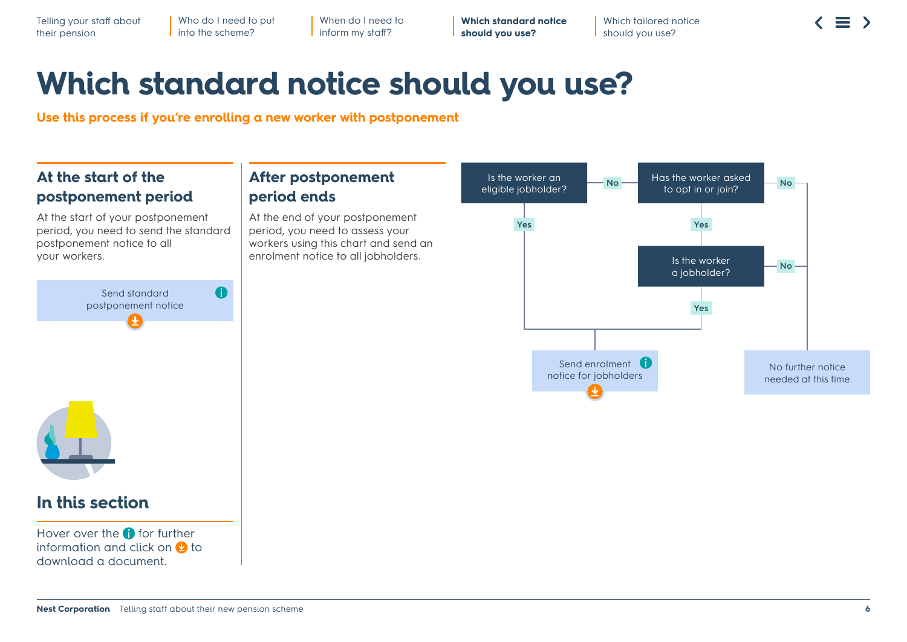When do I need to inform my staff?

**Which standard notice should you use?**

Which tailored notice should you use?

# **Which standard notice should you use?**

<span id="page-5-0"></span>**Use this process if you're enrolling a new worker with postponement**

# **At the start of the postponement period**

At the start of your postponement period, you need to send the standard postponement notice to all your workers.

### **After postponement period ends**

At the end of your postponement period, you need to assess your workers using this chart and send an enrolment notice to all jobholders.

This is a standard notice that you send to all your workers explaining that you're using a postponement period.





# **In this section**

Hover over the  $\bigcap$  for further information and click on  $\Omega$  to download a document.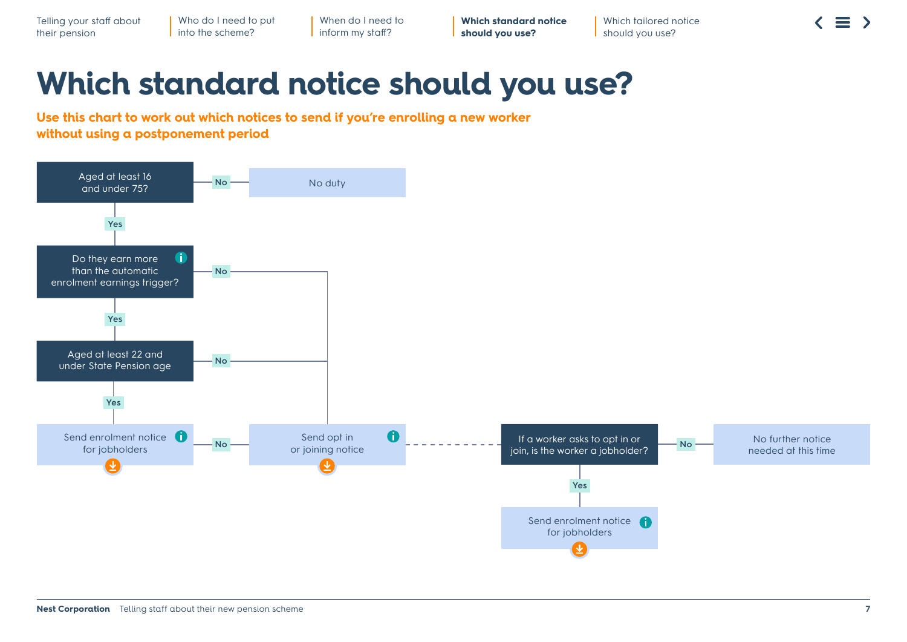When do I need to inform my staff?

**Which standard notice should you use?**

Which tailored notice should you use?

# **Which standard notice should you use?**

<span id="page-6-0"></span>**Use this chart to work out which notices to send if you're enrolling a new worker without using a postponement period**

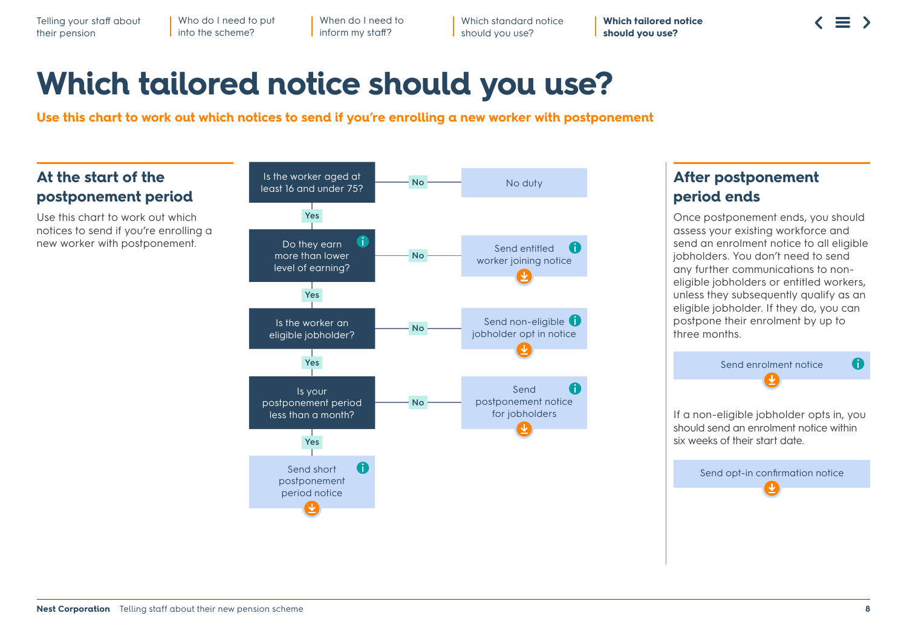When do I need to inform my staff?

Which standard notice should you use?

**Which tailored notice should you use?**

# **Which tailored notice should you use?**

<span id="page-7-0"></span>**Use this chart to work out which notices to send if you're enrolling a new worker with postponement**